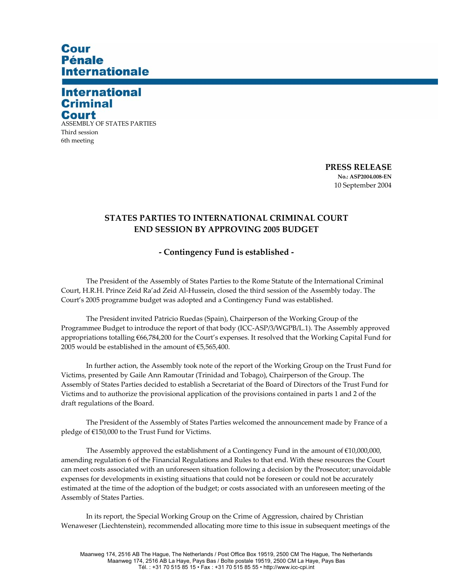# Cour **Pénale Internationale**

## **International Criminal** Court

ASSEMBLY OF STATES PARTIES Third session 6th meeting

> **PRESS RELEASE No.: ASP2004.008-EN**  10 September 2004

### **STATES PARTIES TO INTERNATIONAL CRIMINAL COURT END SESSION BY APPROVING 2005 BUDGET**

#### **- Contingency Fund is established -**

The President of the Assembly of States Parties to the Rome Statute of the International Criminal Court, H.R.H. Prince Zeid Ra'ad Zeid Al-Hussein, closed the third session of the Assembly today. The Court's 2005 programme budget was adopted and a Contingency Fund was established.

The President invited Patricio Ruedas (Spain), Chairperson of the Working Group of the Programmee Budget to introduce the report of that body (ICC-ASP/3/WGPB/L.1). The Assembly approved appropriations totalling €66,784,200 for the Court's expenses. It resolved that the Working Capital Fund for 2005 would be established in the amount of  $€5,565,400$ .

In further action, the Assembly took note of the report of the Working Group on the Trust Fund for Victims, presented by Gaile Ann Ramoutar (Trinidad and Tobago), Chairperson of the Group. The Assembly of States Parties decided to establish a Secretariat of the Board of Directors of the Trust Fund for Victims and to authorize the provisional application of the provisions contained in parts 1 and 2 of the draft regulations of the Board.

 The President of the Assembly of States Parties welcomed the announcement made by France of a pledge of €150,000 to the Trust Fund for Victims.

The Assembly approved the establishment of a Contingency Fund in the amount of €10,000,000, amending regulation 6 of the Financial Regulations and Rules to that end. With these resources the Court can meet costs associated with an unforeseen situation following a decision by the Prosecutor; unavoidable expenses for developments in existing situations that could not be foreseen or could not be accurately estimated at the time of the adoption of the budget; or costs associated with an unforeseen meeting of the Assembly of States Parties.

In its report, the Special Working Group on the Crime of Aggression, chaired by Christian Wenaweser (Liechtenstein), recommended allocating more time to this issue in subsequent meetings of the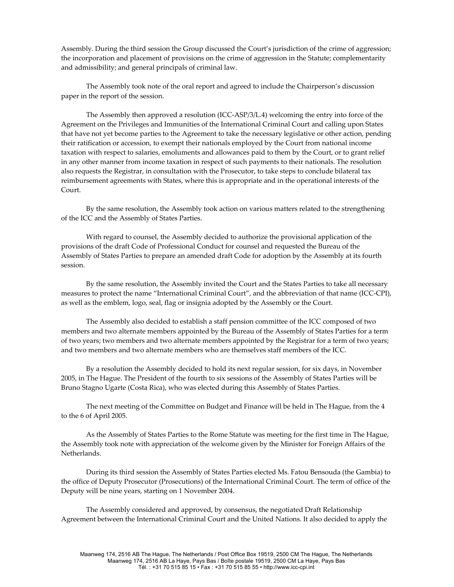Assembly. During the third session the Group discussed the Court's jurisdiction of the crime of aggression; the incorporation and placement of provisions on the crime of aggression in the Statute; complementarity and admissibility; and general principals of criminal law.

The Assembly took note of the oral report and agreed to include the Chairperson's discussion paper in the report of the session.

The Assembly then approved a resolution (ICC-ASP/3/L.4) welcoming the entry into force of the Agreement on the Privileges and Immunities of the International Criminal Court and calling upon States that have not yet become parties to the Agreement to take the necessary legislative or other action, pending their ratification or accession, to exempt their nationals employed by the Court from national income taxation with respect to salaries, emoluments and allowances paid to them by the Court, or to grant relief in any other manner from income taxation in respect of such payments to their nationals. The resolution also requests the Registrar, in consultation with the Prosecutor, to take steps to conclude bilateral tax reimbursement agreements with States, where this is appropriate and in the operational interests of the Court.

By the same resolution, the Assembly took action on various matters related to the strengthening of the ICC and the Assembly of States Parties.

With regard to counsel, the Assembly decided to authorize the provisional application of the provisions of the draft Code of Professional Conduct for counsel and requested the Bureau of the Assembly of States Parties to prepare an amended draft Code for adoption by the Assembly at its fourth session.

By the same resolution, the Assembly invited the Court and the States Parties to take all necessary measures to protect the name "International Criminal Court", and the abbreviation of that name (ICC-CPI), as well as the emblem, logo, seal, flag or insignia adopted by the Assembly or the Court.

The Assembly also decided to establish a staff pension committee of the ICC composed of two members and two alternate members appointed by the Bureau of the Assembly of States Parties for a term of two years; two members and two alternate members appointed by the Registrar for a term of two years; and two members and two alternate members who are themselves staff members of the ICC.

By a resolution the Assembly decided to hold its next regular session, for six days, in November 2005, in The Hague. The President of the fourth to six sessions of the Assembly of States Parties will be Bruno Stagno Ugarte (Costa Rica), who was elected during this Assembly of States Parties.

The next meeting of the Committee on Budget and Finance will be held in The Hague, from the 4 to the 6 of April 2005.

As the Assembly of States Parties to the Rome Statute was meeting for the first time in The Hague, the Assembly took note with appreciation of the welcome given by the Minister for Foreign Affairs of the Netherlands.

During its third session the Assembly of States Parties elected Ms. Fatou Bensouda (the Gambia) to the office of Deputy Prosecutor (Prosecutions) of the International Criminal Court. The term of office of the Deputy will be nine years, starting on 1 November 2004.

The Assembly considered and approved, by consensus, the negotiated Draft Relationship Agreement between the International Criminal Court and the United Nations. It also decided to apply the